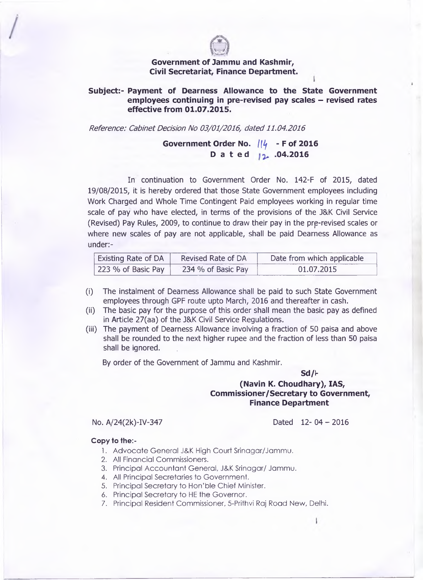

## **Government of Jammu and Kashmir, Civil Secretariat, Finance Department.**

## **Subject:- Payment of Dearness Allowance to the State Government** employees continuing in pre-revised pay scales – revised rates **effective from 01.07.2015.**

*Reference: Cabinet Decision No 03/01/2016, dated 11.04.2016*

**Government Order No.** *If if* **- F of 2016** Dated <sub>12</sub> .04.2016

In continuation to Government Order No. 142-F of 2015, dated 19/08/2015, it is hereby ordered that those State Government employees including Work Charged and Whole Time Contingent Paid employees working in regular time scale of pay who have elected, in terms of the provisions of the J&K Civil Service (Revised) Pay Rules, 2009, to continue to draw their pay in the prp-revised scales or where new scales of pay are not applicable, shall be paid Dearness Allowance as under:-

| <b>Existing Rate of DA</b> | Revised Rate of DA | Date from which applicable |
|----------------------------|--------------------|----------------------------|
| 223 % of Basic Pay         | 234 % of Basic Pay | 01.07.2015                 |

- (i) The instalment of Dearness Allowance shall be paid to such State Government employees through GPF route upto March, 2016 and thereafter in cash.
- (ii) The basic pay for the purpose of this order shall mean the basic pay as defined in Article 27(aa) of the J&K Civil Service Regulations.
- (iii) The payment of Dearness Allowance involving a fraction of 50 paisa and above shall be rounded to the next higher rupee and the fraction of less than 50 paisa shall be ignored. .

By order of the Government of Jammu and Kashmir.

**Sd/I-**

## **(Navin K. Choudhary), IAS, Commissioner/Secretary to Government, Finance Department**

No. A/24(2k)-IV-347 Dated 12- 04 - 2016

## **Copy to the:-**

- 1. Advocate General J&K High Court Srinagar/Jammu.
- 2. All Financial Commissioners.
- 3. Principal Accountant General, J&K Srinagar/ Jammu.
- 4. All Principal Secretaries to Government.
- 5. Principal Secretary to Hon'ble Chief Minister.
- 6. Principal Secretary to HE the Governor.
- 7. Principal Resident Commissioner, 5-Prithvi Raj Road New, Delhi.